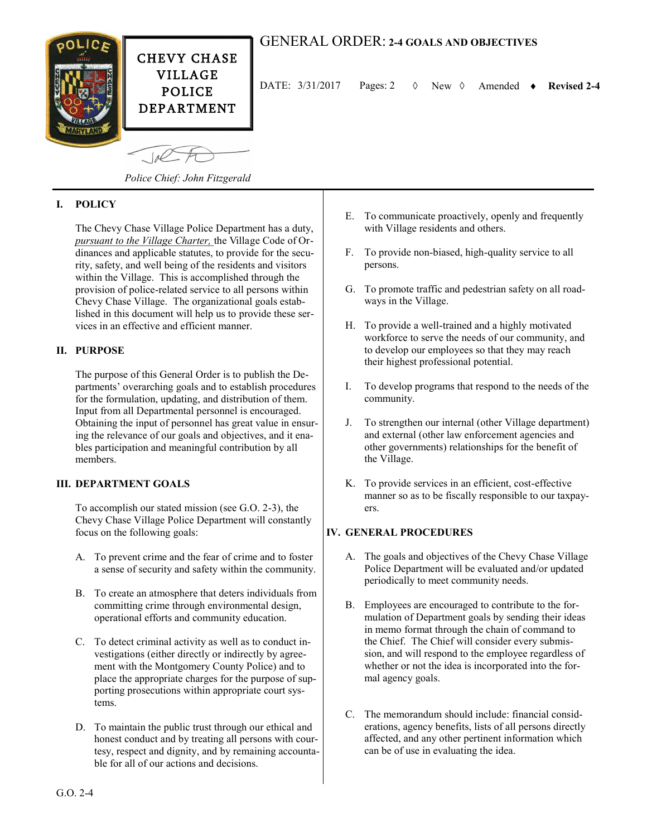

# GENERAL ORDER: **2-4 GOALS AND OBJECTIVES**

DATE:  $3/31/2017$  Pages: 2  $\Diamond$  New  $\Diamond$  Amended  $\bullet$  Revised 2-4

*Police Chief: John Fitzgerald*

## **I. POLICY**

The Chevy Chase Village Police Department has a duty, *pursuant to the Village Charter,* the Village Code of Ordinances and applicable statutes, to provide for the security, safety, and well being of the residents and visitors within the Village. This is accomplished through the provision of police-related service to all persons within Chevy Chase Village. The organizational goals established in this document will help us to provide these services in an effective and efficient manner.

## **II. PURPOSE**

The purpose of this General Order is to publish the Departments' overarching goals and to establish procedures for the formulation, updating, and distribution of them. Input from all Departmental personnel is encouraged. Obtaining the input of personnel has great value in ensuring the relevance of our goals and objectives, and it enables participation and meaningful contribution by all members.

### **III. DEPARTMENT GOALS**

To accomplish our stated mission (see G.O. 2-3), the Chevy Chase Village Police Department will constantly focus on the following goals:

- A. To prevent crime and the fear of crime and to foster a sense of security and safety within the community.
- B. To create an atmosphere that deters individuals from committing crime through environmental design, operational efforts and community education.
- C. To detect criminal activity as well as to conduct investigations (either directly or indirectly by agreement with the Montgomery County Police) and to place the appropriate charges for the purpose of supporting prosecutions within appropriate court systems.
- D. To maintain the public trust through our ethical and honest conduct and by treating all persons with courtesy, respect and dignity, and by remaining accountable for all of our actions and decisions.
- E. To communicate proactively, openly and frequently with Village residents and others.
- F. To provide non-biased, high-quality service to all persons.
- G. To promote traffic and pedestrian safety on all roadways in the Village.
- H. To provide a well-trained and a highly motivated workforce to serve the needs of our community, and to develop our employees so that they may reach their highest professional potential.
- I. To develop programs that respond to the needs of the community.
- J. To strengthen our internal (other Village department) and external (other law enforcement agencies and other governments) relationships for the benefit of the Village.
- K. To provide services in an efficient, cost-effective manner so as to be fiscally responsible to our taxpayers.

### **IV. GENERAL PROCEDURES**

- A. The goals and objectives of the Chevy Chase Village Police Department will be evaluated and/or updated periodically to meet community needs.
- B. Employees are encouraged to contribute to the formulation of Department goals by sending their ideas in memo format through the chain of command to the Chief. The Chief will consider every submission, and will respond to the employee regardless of whether or not the idea is incorporated into the formal agency goals.
- C. The memorandum should include: financial considerations, agency benefits, lists of all persons directly affected, and any other pertinent information which can be of use in evaluating the idea.